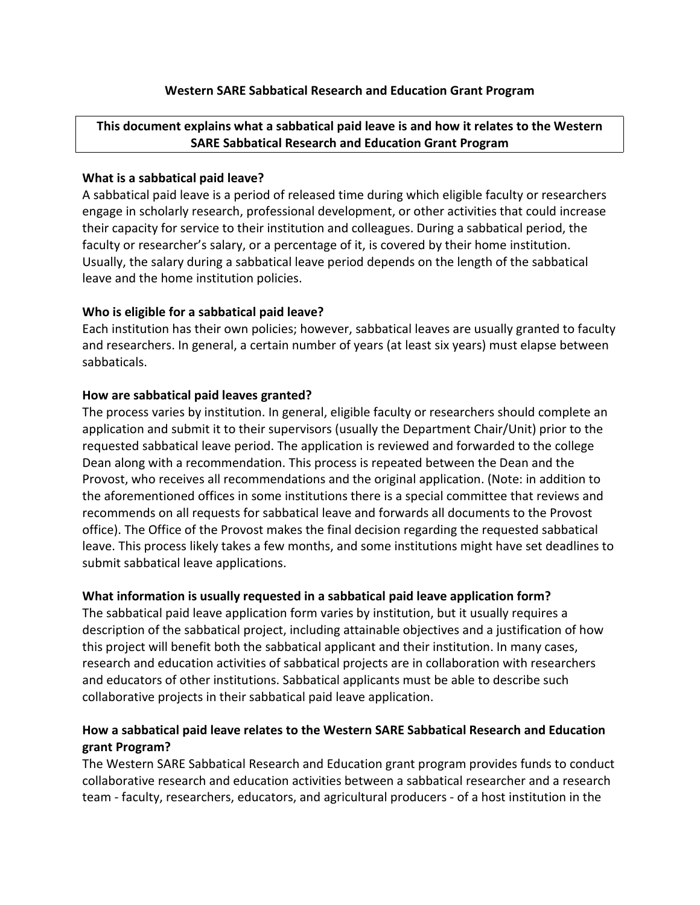## **Western SARE Sabbatical Research and Education Grant Program**

# **This document explains what a sabbatical paid leave is and how it relates to the Western SARE Sabbatical Research and Education Grant Program**

#### **What is a sabbatical paid leave?**

A sabbatical paid leave is a period of released time during which eligible faculty or researchers engage in scholarly research, professional development, or other activities that could increase their capacity for service to their institution and colleagues. During a sabbatical period, the faculty or researcher's salary, or a percentage of it, is covered by their home institution. Usually, the salary during a sabbatical leave period depends on the length of the sabbatical leave and the home institution policies.

## **Who is eligible for a sabbatical paid leave?**

Each institution has their own policies; however, sabbatical leaves are usually granted to faculty and researchers. In general, a certain number of years (at least six years) must elapse between sabbaticals.

#### **How are sabbatical paid leaves granted?**

The process varies by institution. In general, eligible faculty or researchers should complete an application and submit it to their supervisors (usually the Department Chair/Unit) prior to the requested sabbatical leave period. The application is reviewed and forwarded to the college Dean along with a recommendation. This process is repeated between the Dean and the Provost, who receives all recommendations and the original application. (Note: in addition to the aforementioned offices in some institutions there is a special committee that reviews and recommends on all requests for sabbatical leave and forwards all documents to the Provost office). The Office of the Provost makes the final decision regarding the requested sabbatical leave. This process likely takes a few months, and some institutions might have set deadlines to submit sabbatical leave applications.

## **What information is usually requested in a sabbatical paid leave application form?**

The sabbatical paid leave application form varies by institution, but it usually requires a description of the sabbatical project, including attainable objectives and a justification of how this project will benefit both the sabbatical applicant and their institution. In many cases, research and education activities of sabbatical projects are in collaboration with researchers and educators of other institutions. Sabbatical applicants must be able to describe such collaborative projects in their sabbatical paid leave application.

## **How a sabbatical paid leave relates to the Western SARE Sabbatical Research and Education grant Program?**

The Western SARE Sabbatical Research and Education grant program provides funds to conduct collaborative research and education activities between a sabbatical researcher and a research team - faculty, researchers, educators, and agricultural producers - of a host institution in the